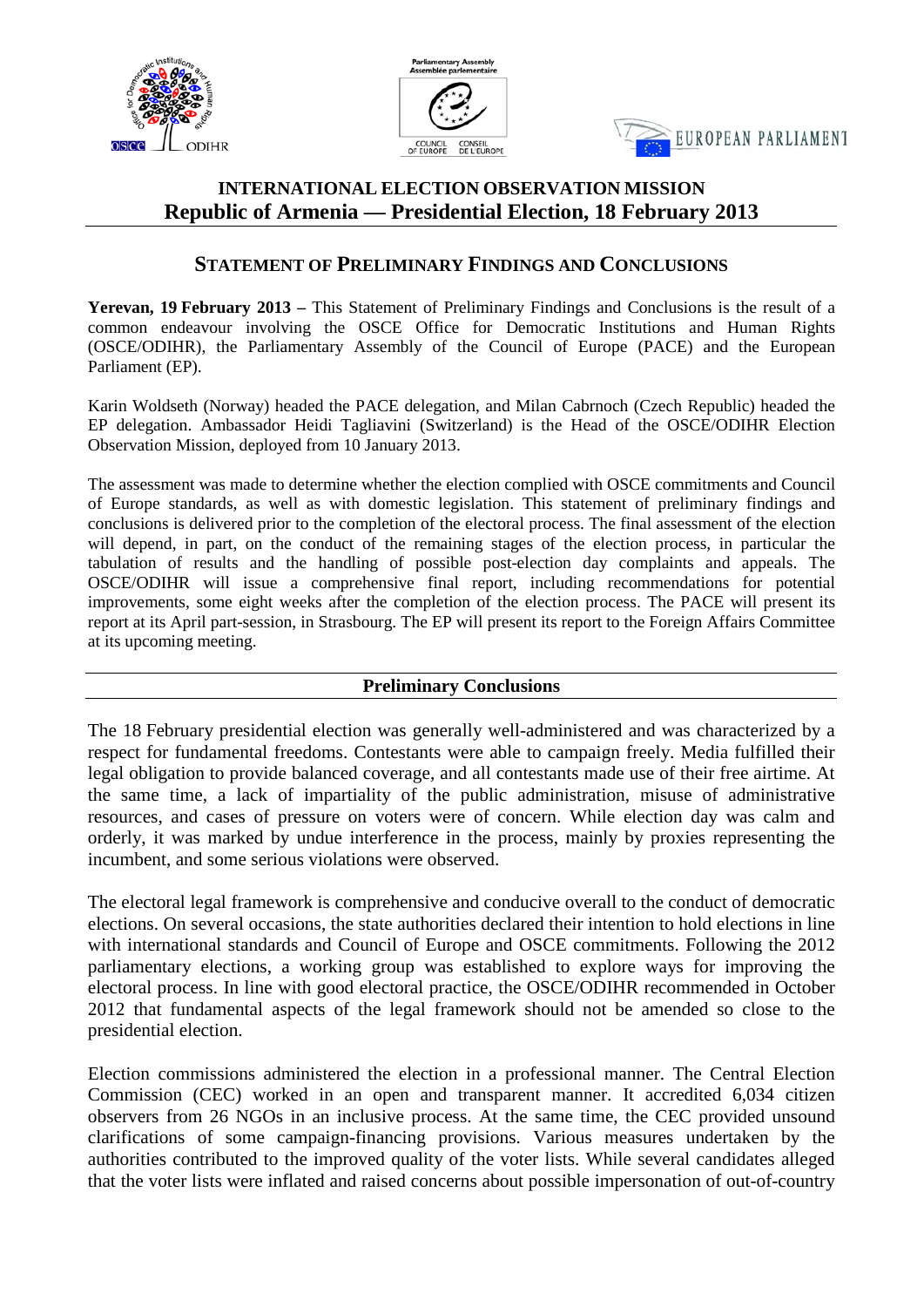





# **INTERNATIONAL ELECTION OBSERVATION MISSION Republic of Armenia — Presidential Election, 18 February 2013**

# **STATEMENT OF PRELIMINARY FINDINGS AND CONCLUSIONS**

**Yerevan, 19 February 2013 –** This Statement of Preliminary Findings and Conclusions is the result of a common endeavour involving the OSCE Office for Democratic Institutions and Human Rights (OSCE/ODIHR), the Parliamentary Assembly of the Council of Europe (PACE) and the European Parliament (EP).

Karin Woldseth (Norway) headed the PACE delegation, and Milan Cabrnoch (Czech Republic) headed the EP delegation. Ambassador Heidi Tagliavini (Switzerland) is the Head of the OSCE/ODIHR Election Observation Mission, deployed from 10 January 2013.

The assessment was made to determine whether the election complied with OSCE commitments and Council of Europe standards, as well as with domestic legislation. This statement of preliminary findings and conclusions is delivered prior to the completion of the electoral process. The final assessment of the election will depend, in part, on the conduct of the remaining stages of the election process, in particular the tabulation of results and the handling of possible post-election day complaints and appeals. The OSCE/ODIHR will issue a comprehensive final report, including recommendations for potential improvements, some eight weeks after the completion of the election process. The PACE will present its report at its April part-session, in Strasbourg. The EP will present its report to the Foreign Affairs Committee at its upcoming meeting.

# **Preliminary Conclusions**

The 18 February presidential election was generally well-administered and was characterized by a respect for fundamental freedoms. Contestants were able to campaign freely. Media fulfilled their legal obligation to provide balanced coverage, and all contestants made use of their free airtime. At the same time, a lack of impartiality of the public administration, misuse of administrative resources, and cases of pressure on voters were of concern. While election day was calm and orderly, it was marked by undue interference in the process, mainly by proxies representing the incumbent, and some serious violations were observed.

The electoral legal framework is comprehensive and conducive overall to the conduct of democratic elections. On several occasions, the state authorities declared their intention to hold elections in line with international standards and Council of Europe and OSCE commitments. Following the 2012 parliamentary elections, a working group was established to explore ways for improving the electoral process. In line with good electoral practice, the OSCE/ODIHR recommended in October 2012 that fundamental aspects of the legal framework should not be amended so close to the presidential election.

Election commissions administered the election in a professional manner. The Central Election Commission (CEC) worked in an open and transparent manner. It accredited 6,034 citizen observers from 26 NGOs in an inclusive process. At the same time, the CEC provided unsound clarifications of some campaign-financing provisions. Various measures undertaken by the authorities contributed to the improved quality of the voter lists. While several candidates alleged that the voter lists were inflated and raised concerns about possible impersonation of out-of-country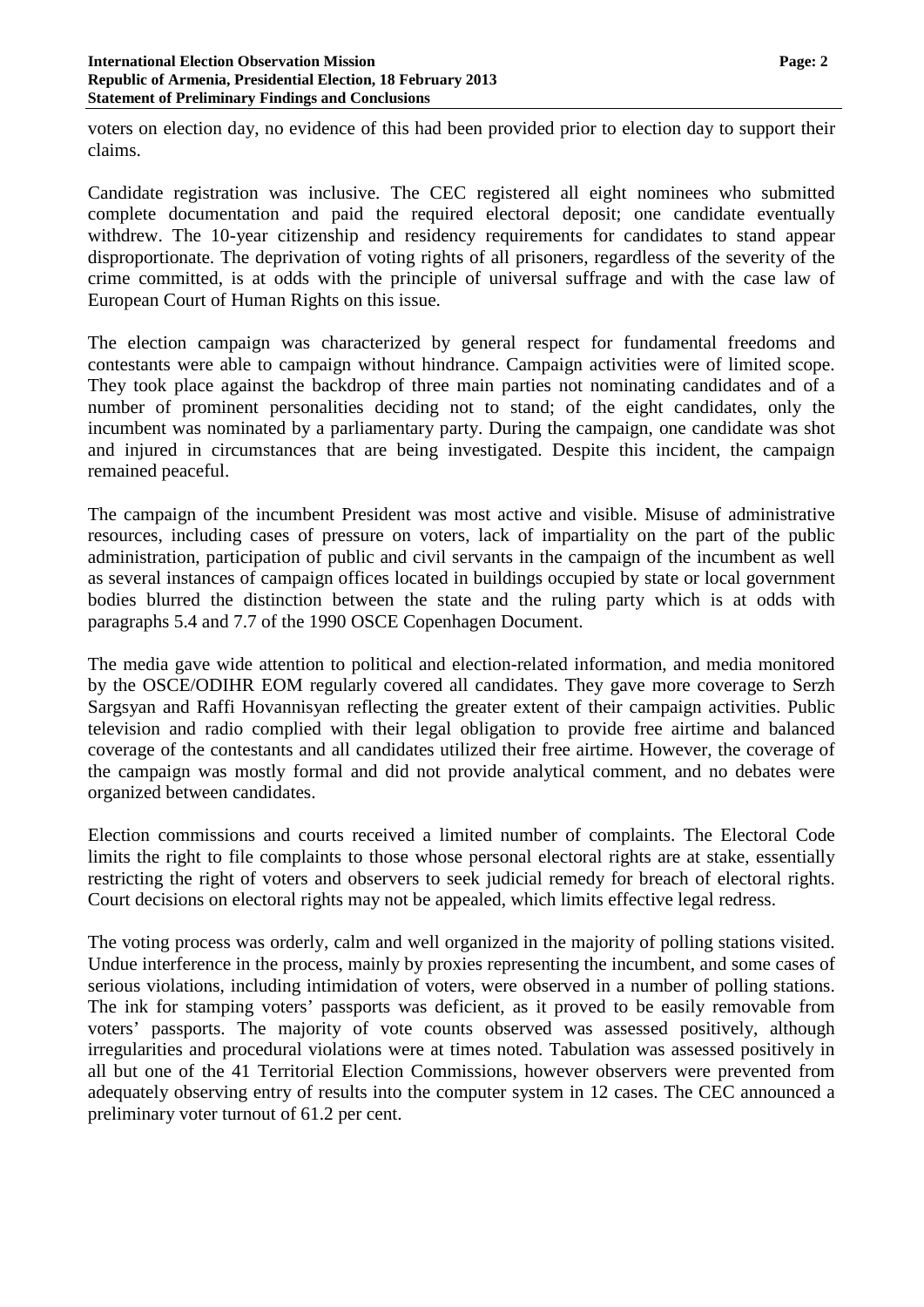voters on election day, no evidence of this had been provided prior to election day to support their claims.

Candidate registration was inclusive. The CEC registered all eight nominees who submitted complete documentation and paid the required electoral deposit; one candidate eventually withdrew. The 10-year citizenship and residency requirements for candidates to stand appear disproportionate. The deprivation of voting rights of all prisoners, regardless of the severity of the crime committed, is at odds with the principle of universal suffrage and with the case law of European Court of Human Rights on this issue.

The election campaign was characterized by general respect for fundamental freedoms and contestants were able to campaign without hindrance. Campaign activities were of limited scope. They took place against the backdrop of three main parties not nominating candidates and of a number of prominent personalities deciding not to stand; of the eight candidates, only the incumbent was nominated by a parliamentary party. During the campaign, one candidate was shot and injured in circumstances that are being investigated. Despite this incident, the campaign remained peaceful.

The campaign of the incumbent President was most active and visible. Misuse of administrative resources, including cases of pressure on voters, lack of impartiality on the part of the public administration, participation of public and civil servants in the campaign of the incumbent as well as several instances of campaign offices located in buildings occupied by state or local government bodies blurred the distinction between the state and the ruling party which is at odds with paragraphs 5.4 and 7.7 of the 1990 OSCE Copenhagen Document.

The media gave wide attention to political and election-related information, and media monitored by the OSCE/ODIHR EOM regularly covered all candidates. They gave more coverage to Serzh Sargsyan and Raffi Hovannisyan reflecting the greater extent of their campaign activities. Public television and radio complied with their legal obligation to provide free airtime and balanced coverage of the contestants and all candidates utilized their free airtime. However, the coverage of the campaign was mostly formal and did not provide analytical comment, and no debates were organized between candidates.

Election commissions and courts received a limited number of complaints. The Electoral Code limits the right to file complaints to those whose personal electoral rights are at stake, essentially restricting the right of voters and observers to seek judicial remedy for breach of electoral rights. Court decisions on electoral rights may not be appealed, which limits effective legal redress.

The voting process was orderly, calm and well organized in the majority of polling stations visited. Undue interference in the process, mainly by proxies representing the incumbent, and some cases of serious violations, including intimidation of voters, were observed in a number of polling stations. The ink for stamping voters' passports was deficient, as it proved to be easily removable from voters' passports. The majority of vote counts observed was assessed positively, although irregularities and procedural violations were at times noted. Tabulation was assessed positively in all but one of the 41 Territorial Election Commissions, however observers were prevented from adequately observing entry of results into the computer system in 12 cases. The CEC announced a preliminary voter turnout of 61.2 per cent.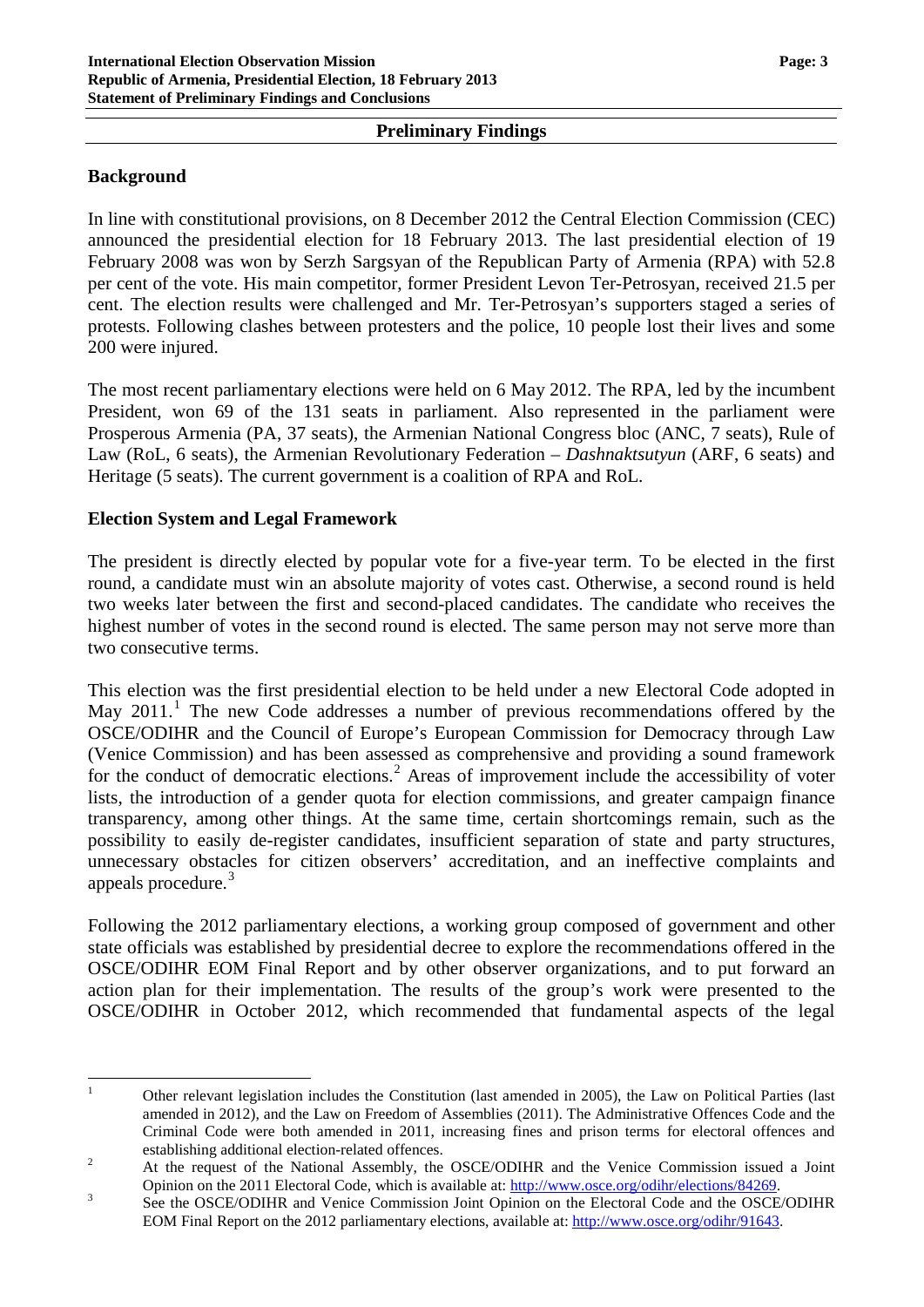### **Preliminary Findings**

## **Background**

In line with constitutional provisions, on 8 December 2012 the Central Election Commission (CEC) announced the presidential election for 18 February 2013. The last presidential election of 19 February 2008 was won by Serzh Sargsyan of the Republican Party of Armenia (RPA) with 52.8 per cent of the vote. His main competitor, former President Levon Ter-Petrosyan, received 21.5 per cent. The election results were challenged and Mr. Ter-Petrosyan's supporters staged a series of protests. Following clashes between protesters and the police, 10 people lost their lives and some 200 were injured.

The most recent parliamentary elections were held on 6 May 2012. The RPA, led by the incumbent President, won 69 of the 131 seats in parliament. Also represented in the parliament were Prosperous Armenia (PA, 37 seats), the Armenian National Congress bloc (ANC, 7 seats), Rule of Law (RoL, 6 seats), the Armenian Revolutionary Federation – *Dashnaktsutyun* (ARF, 6 seats) and Heritage (5 seats). The current government is a coalition of RPA and RoL.

## **Election System and Legal Framework**

The president is directly elected by popular vote for a five-year term. To be elected in the first round, a candidate must win an absolute majority of votes cast. Otherwise, a second round is held two weeks later between the first and second-placed candidates. The candidate who receives the highest number of votes in the second round is elected. The same person may not serve more than two consecutive terms.

This election was the first presidential election to be held under a new Electoral Code adopted in May 20[1](#page-2-0)1.<sup>1</sup> The new Code addresses a number of previous recommendations offered by the OSCE/ODIHR and the Council of Europe's European Commission for Democracy through Law (Venice Commission) and has been assessed as comprehensive and providing a sound framework for the conduct of democratic elections.<sup>[2](#page-2-1)</sup> Areas of improvement include the accessibility of voter lists, the introduction of a gender quota for election commissions, and greater campaign finance transparency, among other things. At the same time, certain shortcomings remain, such as the possibility to easily de-register candidates, insufficient separation of state and party structures, unnecessary obstacles for citizen observers' accreditation, and an ineffective complaints and appeals procedure.<sup>[3](#page-2-2)</sup>

Following the 2012 parliamentary elections, a working group composed of government and other state officials was established by presidential decree to explore the recommendations offered in the OSCE/ODIHR EOM Final Report and by other observer organizations, and to put forward an action plan for their implementation. The results of the group's work were presented to the OSCE/ODIHR in October 2012, which recommended that fundamental aspects of the legal

<span id="page-2-0"></span><sup>&</sup>lt;sup>1</sup> Other relevant legislation includes the Constitution (last amended in 2005), the Law on Political Parties (last amended in 2012), and the Law on Freedom of Assemblies (2011). The Administrative Offences Code and the Criminal Code were both amended in 2011, increasing fines and prison terms for electoral offences and establishing additional election-related offences.<br>
2 At the request of the National Assembly, the OSCE/ODIHR and the Venice Commission issued a Joint

<span id="page-2-1"></span>Opinion on the 2011 Electoral Code, which is available at: [http://www.osce.org/odihr/elections/84269.](http://www.osce.org/odihr/elections/84269)<br>See the OSCE/ODIHR and Venice Commission Joint Opinion on the Electoral Code and the OSCE/ODIHR

<span id="page-2-2"></span>EOM Final Report on the 2012 parliamentary elections, available at: [http://www.osce.org/odihr/91643.](http://www.osce.org/odihr/91643)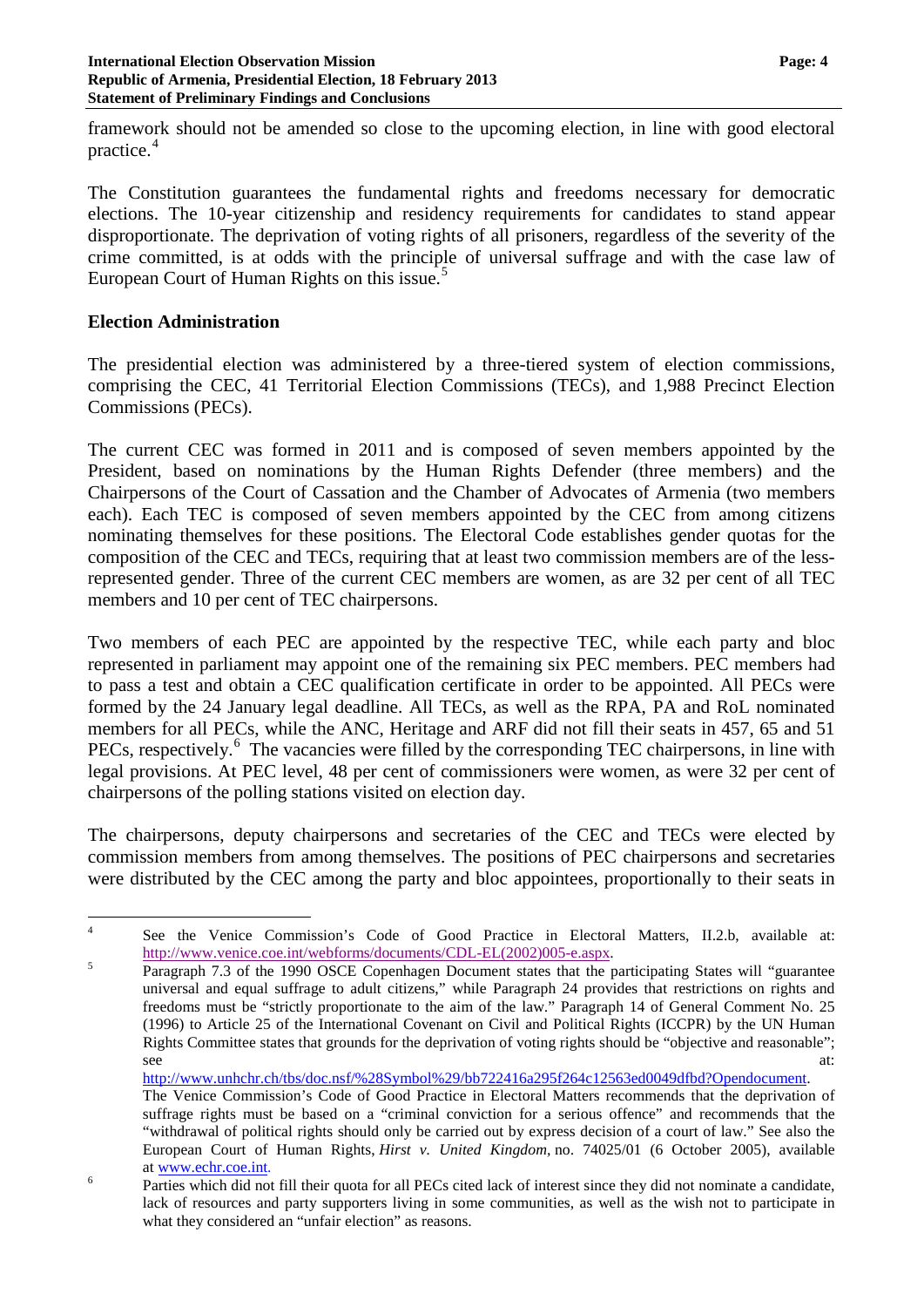framework should not be amended so close to the upcoming election, in line with good electoral practice. [4](#page-3-0)

The Constitution guarantees the fundamental rights and freedoms necessary for democratic elections. The 10-year citizenship and residency requirements for candidates to stand appear disproportionate. The deprivation of voting rights of all prisoners, regardless of the severity of the crime committed, is at odds with the principle of universal suffrage and with the case law of European Court of Human Rights on this issue. [5](#page-3-1)

## **Election Administration**

The presidential election was administered by a three-tiered system of election commissions, comprising the CEC, 41 Territorial Election Commissions (TECs), and 1,988 Precinct Election Commissions (PECs).

The current CEC was formed in 2011 and is composed of seven members appointed by the President, based on nominations by the Human Rights Defender (three members) and the Chairpersons of the Court of Cassation and the Chamber of Advocates of Armenia (two members each). Each TEC is composed of seven members appointed by the CEC from among citizens nominating themselves for these positions. The Electoral Code establishes gender quotas for the composition of the CEC and TECs, requiring that at least two commission members are of the lessrepresented gender. Three of the current CEC members are women, as are 32 per cent of all TEC members and 10 per cent of TEC chairpersons.

Two members of each PEC are appointed by the respective TEC, while each party and bloc represented in parliament may appoint one of the remaining six PEC members. PEC members had to pass a test and obtain a CEC qualification certificate in order to be appointed. All PECs were formed by the 24 January legal deadline. All TECs, as well as the RPA, PA and RoL nominated members for all PECs, while the ANC, Heritage and ARF did not fill their seats in 457, 65 and 51 PECs, respectively.<sup>[6](#page-3-2)</sup> The vacancies were filled by the corresponding TEC chairpersons, in line with legal provisions. At PEC level, 48 per cent of commissioners were women, as were 32 per cent of chairpersons of the polling stations visited on election day.

The chairpersons, deputy chairpersons and secretaries of the CEC and TECs were elected by commission members from among themselves. The positions of PEC chairpersons and secretaries were distributed by the CEC among the party and bloc appointees, proportionally to their seats in

[http://www.unhchr.ch/tbs/doc.nsf/%28Symbol%29/bb722416a295f264c12563ed0049dfbd?Opendocument.](http://www.unhchr.ch/tbs/doc.nsf/%28Symbol%29/bb722416a295f264c12563ed0049dfbd?Opendocument)

<span id="page-3-0"></span><sup>&</sup>lt;sup>4</sup> See the Venice Commission's Code of Good Practice in Electoral Matters, II.2.b, available at: [http://www.venice.coe.int/webforms/documents/CDL-EL\(2002\)005-e.aspx.](http://www.coe.am/en/docs/venice/opinion_190_2002.pdf)<br>
Paragraph 7.3 of the 1990 OSCE Copenhagen Document states that the participating States will "guarantee"

<span id="page-3-1"></span>universal and equal suffrage to adult citizens," while Paragraph 24 provides that restrictions on rights and freedoms must be "strictly proportionate to the aim of the law." Paragraph 14 of General Comment No. 25 (1996) to Article 25 of the International Covenant on Civil and Political Rights (ICCPR) by the UN Human Rights Committee states that grounds for the deprivation of voting rights should be "objective and reasonable"; see at: the contract of the contract of the contract of the contract of the contract of the contract of the contract of the contract of the contract of the contract of the contract of the contract of the contract of the co

The Venice Commission's Code of Good Practice in Electoral Matters recommends that the deprivation of suffrage rights must be based on a "criminal conviction for a serious offence" and recommends that the "withdrawal of political rights should only be carried out by express decision of a court of law." See also the European Court of Human Rights, *Hirst v. United Kingdom,* no. 74025/01 (6 October 2005), available

<span id="page-3-2"></span>at www.echr.coe.int.<br>
<sup>6</sup> Parties which did not fill their quota for all PECs cited lack of interest since they did not nominate a candidate, lack of resources and party supporters living in some communities, as well as the wish not to participate in what they considered an "unfair election" as reasons.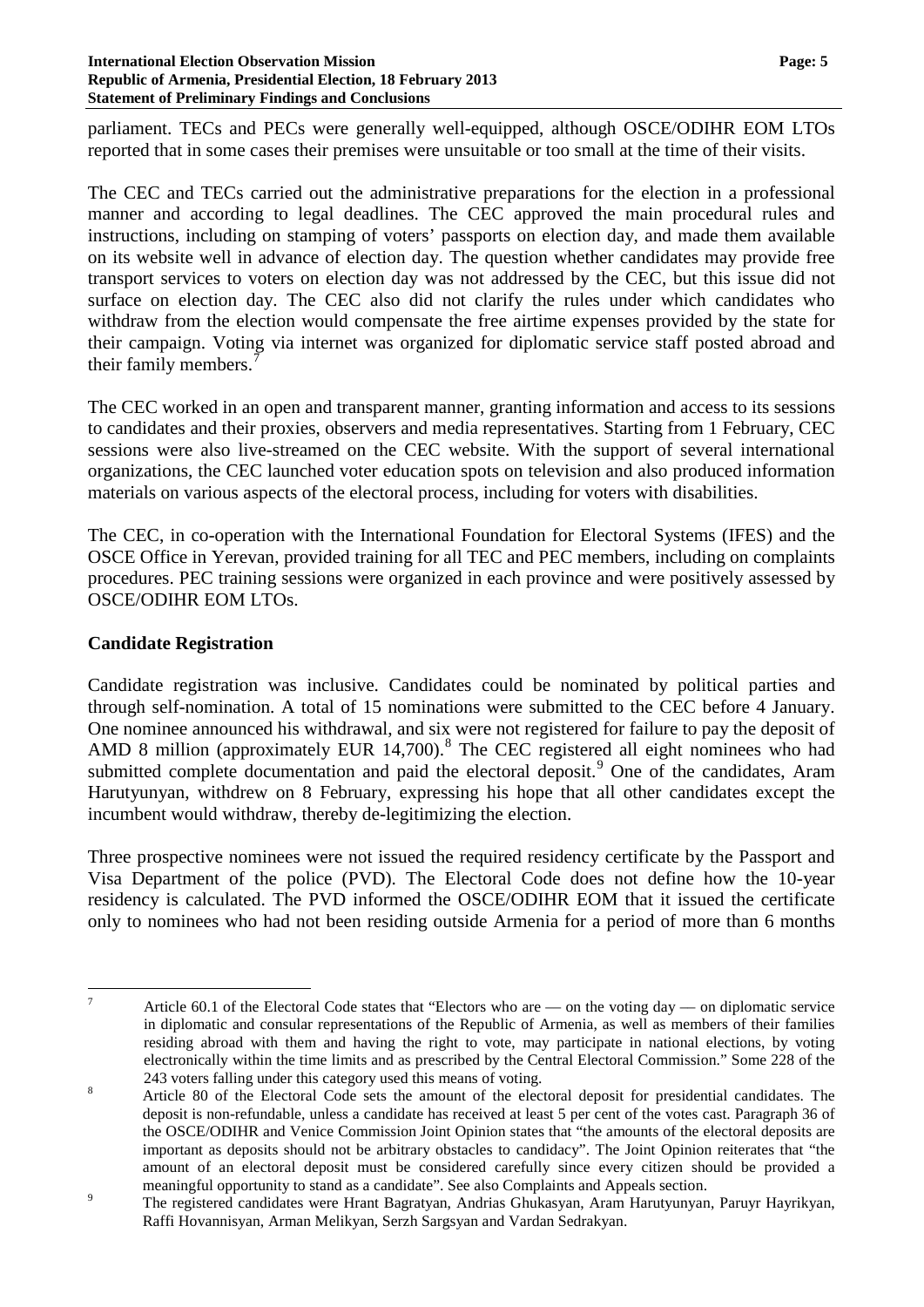#### **International Election Observation Mission Page: 5 Republic of Armenia, Presidential Election, 18 February 2013 Statement of Preliminary Findings and Conclusions**

parliament. TECs and PECs were generally well-equipped, although OSCE/ODIHR EOM LTOs reported that in some cases their premises were unsuitable or too small at the time of their visits.

The CEC and TECs carried out the administrative preparations for the election in a professional manner and according to legal deadlines. The CEC approved the main procedural rules and instructions, including on stamping of voters' passports on election day, and made them available on its website well in advance of election day. The question whether candidates may provide free transport services to voters on election day was not addressed by the CEC, but this issue did not surface on election day. The CEC also did not clarify the rules under which candidates who withdraw from the election would compensate the free airtime expenses provided by the state for their campaign. Voting via internet was organized for diplomatic service staff posted abroad and their family members.<sup>[7](#page-4-0)</sup>

The CEC worked in an open and transparent manner, granting information and access to its sessions to candidates and their proxies, observers and media representatives. Starting from 1 February, CEC sessions were also live-streamed on the CEC website. With the support of several international organizations, the CEC launched voter education spots on television and also produced information materials on various aspects of the electoral process, including for voters with disabilities.

The CEC, in co-operation with the International Foundation for Electoral Systems (IFES) and the OSCE Office in Yerevan, provided training for all TEC and PEC members, including on complaints procedures. PEC training sessions were organized in each province and were positively assessed by OSCE/ODIHR EOM LTOs.

## **Candidate Registration**

Candidate registration was inclusive. Candidates could be nominated by political parties and through self-nomination. A total of 15 nominations were submitted to the CEC before 4 January. One nominee announced his withdrawal, and six were not registered for failure to pay the deposit of AMD [8](#page-4-1) million (approximately EUR  $14,700$ ).<sup>8</sup> The CEC registered all eight nominees who had submitted complete documentation and paid the electoral deposit.<sup>[9](#page-4-2)</sup> One of the candidates, Aram Harutyunyan, withdrew on 8 February, expressing his hope that all other candidates except the incumbent would withdraw, thereby de-legitimizing the election.

Three prospective nominees were not issued the required residency certificate by the Passport and Visa Department of the police (PVD). The Electoral Code does not define how the 10-year residency is calculated. The PVD informed the OSCE/ODIHR EOM that it issued the certificate only to nominees who had not been residing outside Armenia for a period of more than 6 months

<span id="page-4-0"></span><sup>&</sup>lt;sup>7</sup> Article 60.1 of the Electoral Code states that "Electors who are — on the voting day — on diplomatic service in diplomatic and consular representations of the Republic of Armenia, as well as members of their families residing abroad with them and having the right to vote, may participate in national elections, by voting electronically within the time limits and as prescribed by the Central Electoral Commission." Some 228 of the

<span id="page-4-1"></span><sup>243</sup> voters falling under this category used this means of voting.<br><sup>8</sup> Article 80 of the Electoral Code sets the amount of the electoral deposit for presidential candidates. The deposit is non-refundable, unless a candidate has received at least 5 per cent of the votes cast. Paragraph 36 of the OSCE/ODIHR and Venice Commission Joint Opinion states that "the amounts of the electoral deposits are important as deposits should not be arbitrary obstacles to candidacy". The Joint Opinion reiterates that "the amount of an electoral deposit must be considered carefully since every citizen should be provided a

<span id="page-4-2"></span>meaningful opportunity to stand as a candidate". See also Complaints and Appeals section.<br><sup>9</sup> The registered candidates were Hrant Bagratyan, Andrias Ghukasyan, Aram Harutyunyan, Paruyr Hayrikyan, Raffi Hovannisyan, Arman Melikyan, Serzh Sargsyan and Vardan Sedrakyan.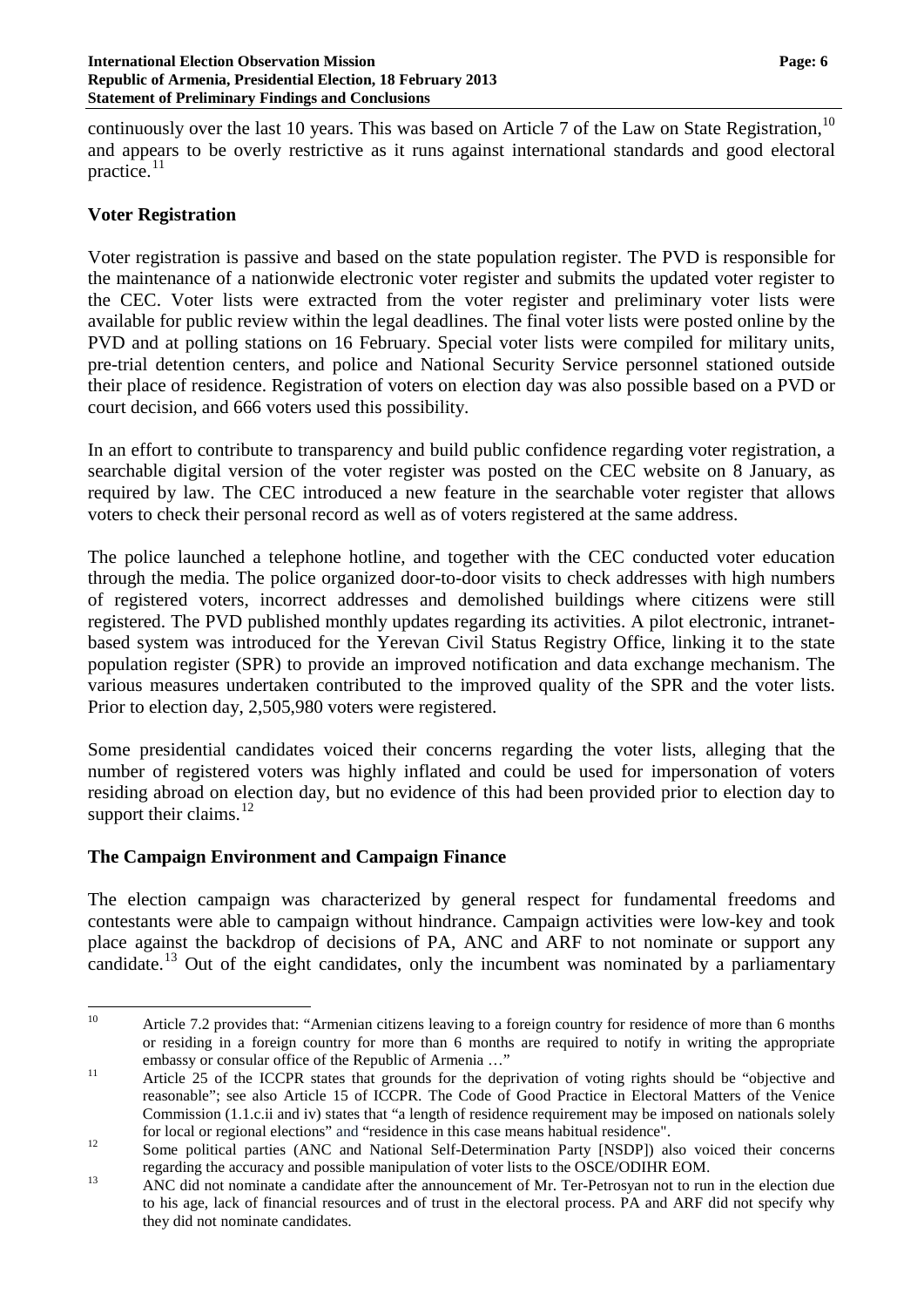continuously over the last [10](#page-5-0) years. This was based on Article 7 of the Law on State Registration,<sup>10</sup> and appears to be overly restrictive as it runs against international standards and good electoral practice.<sup>[11](#page-5-1)</sup>

### **Voter Registration**

Voter registration is passive and based on the state population register. The PVD is responsible for the maintenance of a nationwide electronic voter register and submits the updated voter register to the CEC. Voter lists were extracted from the voter register and preliminary voter lists were available for public review within the legal deadlines. The final voter lists were posted online by the PVD and at polling stations on 16 February. Special voter lists were compiled for military units, pre-trial detention centers, and police and National Security Service personnel stationed outside their place of residence. Registration of voters on election day was also possible based on a PVD or court decision, and 666 voters used this possibility.

In an effort to contribute to transparency and build public confidence regarding voter registration, a searchable digital version of the voter register was posted on the CEC website on 8 January, as required by law. The CEC introduced a new feature in the searchable voter register that allows voters to check their personal record as well as of voters registered at the same address.

The police launched a telephone hotline, and together with the CEC conducted voter education through the media. The police organized door-to-door visits to check addresses with high numbers of registered voters, incorrect addresses and demolished buildings where citizens were still registered. The PVD published monthly updates regarding its activities. A pilot electronic, intranetbased system was introduced for the Yerevan Civil Status Registry Office, linking it to the state population register (SPR) to provide an improved notification and data exchange mechanism. The various measures undertaken contributed to the improved quality of the SPR and the voter lists. Prior to election day, 2,505,980 voters were registered.

Some presidential candidates voiced their concerns regarding the voter lists, alleging that the number of registered voters was highly inflated and could be used for impersonation of voters residing abroad on election day, but no evidence of this had been provided prior to election day to support their claims. $^{12}$  $^{12}$  $^{12}$ 

### **The Campaign Environment and Campaign Finance**

The election campaign was characterized by general respect for fundamental freedoms and contestants were able to campaign without hindrance. Campaign activities were low-key and took place against the backdrop of decisions of PA, ANC and ARF to not nominate or support any candidate.<sup>[13](#page-5-3)</sup> Out of the eight candidates, only the incumbent was nominated by a parliamentary

<span id="page-5-0"></span><sup>&</sup>lt;sup>10</sup> Article 7.2 provides that: "Armenian citizens leaving to a foreign country for residence of more than 6 months or residing in a foreign country for more than 6 months are required to notify in writing the appropriate embassy or consular office of the Republic of Armenia ..."

<span id="page-5-1"></span><sup>&</sup>lt;sup>11</sup> Article 25 of the ICCPR states that grounds for the deprivation of voting rights should be "objective and reasonable"; see also Article 15 of ICCPR. The Code of Good Practice in Electoral Matters of the Venice Commission (1.1.c.ii and iv) states that "a length of residence requirement may be imposed on nationals solely

<span id="page-5-2"></span>for local or regional elections" and "residence in this case means habitual residence".<br>
<sup>12</sup> Some political parties (ANC and National Self-Determination Party [NSDP]) also voiced their concerns

<span id="page-5-3"></span>regarding the accuracy and possible manipulation of voter lists to the OSCE/ODIHR EOM.<br><sup>13</sup> ANC did not nominate a candidate after the announcement of Mr. Ter-Petrosyan not to run in the election due to his age, lack of financial resources and of trust in the electoral process. PA and ARF did not specify why they did not nominate candidates.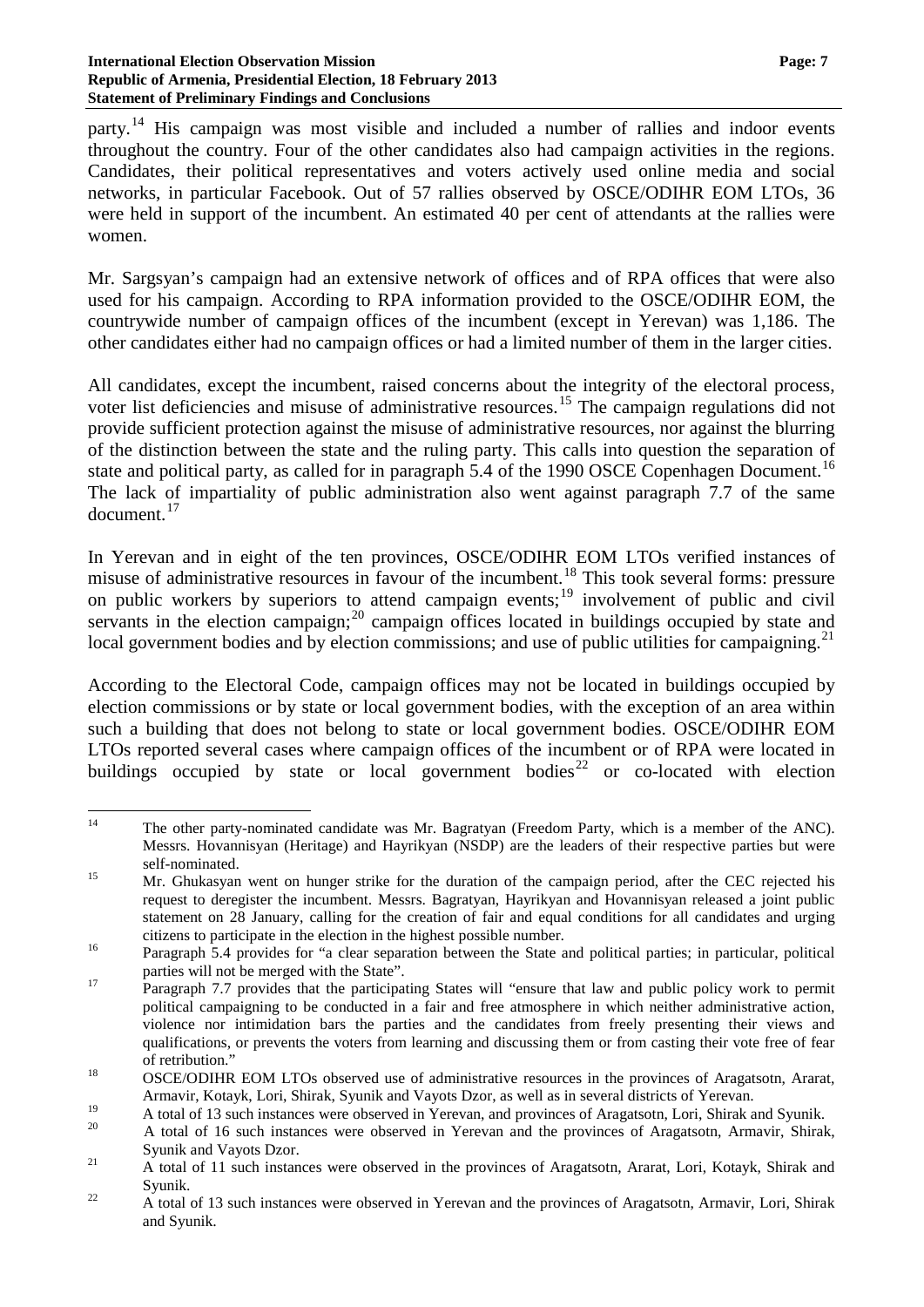#### **International Election Observation Mission Page: 7 Republic of Armenia, Presidential Election, 18 February 2013 Statement of Preliminary Findings and Conclusions**

party.<sup>[14](#page-6-0)</sup> His campaign was most visible and included a number of rallies and indoor events throughout the country. Four of the other candidates also had campaign activities in the regions. Candidates, their political representatives and voters actively used online media and social networks, in particular Facebook. Out of 57 rallies observed by OSCE/ODIHR EOM LTOs, 36 were held in support of the incumbent. An estimated 40 per cent of attendants at the rallies were women.

Mr. Sargsyan's campaign had an extensive network of offices and of RPA offices that were also used for his campaign. According to RPA information provided to the OSCE/ODIHR EOM, the countrywide number of campaign offices of the incumbent (except in Yerevan) was 1,186. The other candidates either had no campaign offices or had a limited number of them in the larger cities.

All candidates, except the incumbent, raised concerns about the integrity of the electoral process, voter list deficiencies and misuse of administrative resources.<sup>[15](#page-6-1)</sup> The campaign regulations did not provide sufficient protection against the misuse of administrative resources, nor against the blurring of the distinction between the state and the ruling party. This calls into question the separation of state and political party, as called for in paragraph 5.4 of the 1990 OSCE Copenhagen Document.<sup>[16](#page-6-2)</sup> The lack of impartiality of public administration also went against paragraph 7.7 of the same document. [17](#page-6-3)

In Yerevan and in eight of the ten provinces, OSCE/ODIHR EOM LTOs verified instances of misuse of administrative resources in favour of the incumbent.<sup>[18](#page-6-4)</sup> This took several forms: pressure on public workers by superiors to attend campaign events;<sup>[19](#page-6-5)</sup> involvement of public and civil servants in the election campaign; $20$  campaign offices located in buildings occupied by state and local government bodies and by election commissions; and use of public utilities for campaigning.<sup>[21](#page-6-7)</sup>

According to the Electoral Code, campaign offices may not be located in buildings occupied by election commissions or by state or local government bodies, with the exception of an area within such a building that does not belong to state or local government bodies. OSCE/ODIHR EOM LTOs reported several cases where campaign offices of the incumbent or of RPA were located in buildings occupied by state or local government bodies<sup>[22](#page-6-8)</sup> or co-located with election

<span id="page-6-0"></span><sup>&</sup>lt;sup>14</sup> The other party-nominated candidate was Mr. Bagratyan (Freedom Party, which is a member of the ANC). Messrs. Hovannisyan (Heritage) and Hayrikyan (NSDP) are the leaders of their respective parties but were

<span id="page-6-1"></span>self-nominated.<br><sup>15</sup> Mr. Ghukasyan went on hunger strike for the duration of the campaign period, after the CEC rejected his request to deregister the incumbent. Messrs. Bagratyan, Hayrikyan and Hovannisyan released a joint public statement on 28 January, calling for the creation of fair and equal conditions for all candidates and urging citizens to participate in the election in the highest possible number.<br><sup>16</sup> Paragraph 5.4 provides for "a clear separation between the State and political parties; in particular, political

<span id="page-6-2"></span>

<span id="page-6-3"></span>parties will not be merged with the State".<br>
Paragraph 7.7 provides that the participating States will "ensure that law and public policy work to permit political campaigning to be conducted in a fair and free atmosphere in which neither administrative action, violence nor intimidation bars the parties and the candidates from freely presenting their views and qualifications, or prevents the voters from learning and discussing them or from casting their vote free of fear

<span id="page-6-4"></span><sup>&</sup>lt;sup>18</sup> OSCE/ODIHR EOM LTOs observed use of administrative resources in the provinces of Aragatsotn, Ararat, Armavir, Kotayk, Lori, Shirak, Syunik and Vayots Dzor, as well as in several districts of Yerevan.

<span id="page-6-5"></span><sup>19</sup> A total of 13 such instances were observed in Yerevan, and provinces of Aragatsotn, Lori, Shirak and Syunik.<br>20 A total of 16 such instances were observed in Yerevan and the provinces of Aragatsotn, Armavir, Shirak,

<span id="page-6-6"></span>Syunik and Vayots Dzor.<br>
21 A total of 11 such instances were observed in the provinces of Aragatsotn, Ararat, Lori, Kotayk, Shirak and

<span id="page-6-7"></span>Syunik.<br>22 A total of 13 such instances were observed in Yerevan and the provinces of Aragatsotn, Armavir, Lori, Shirak

<span id="page-6-8"></span>and Syunik.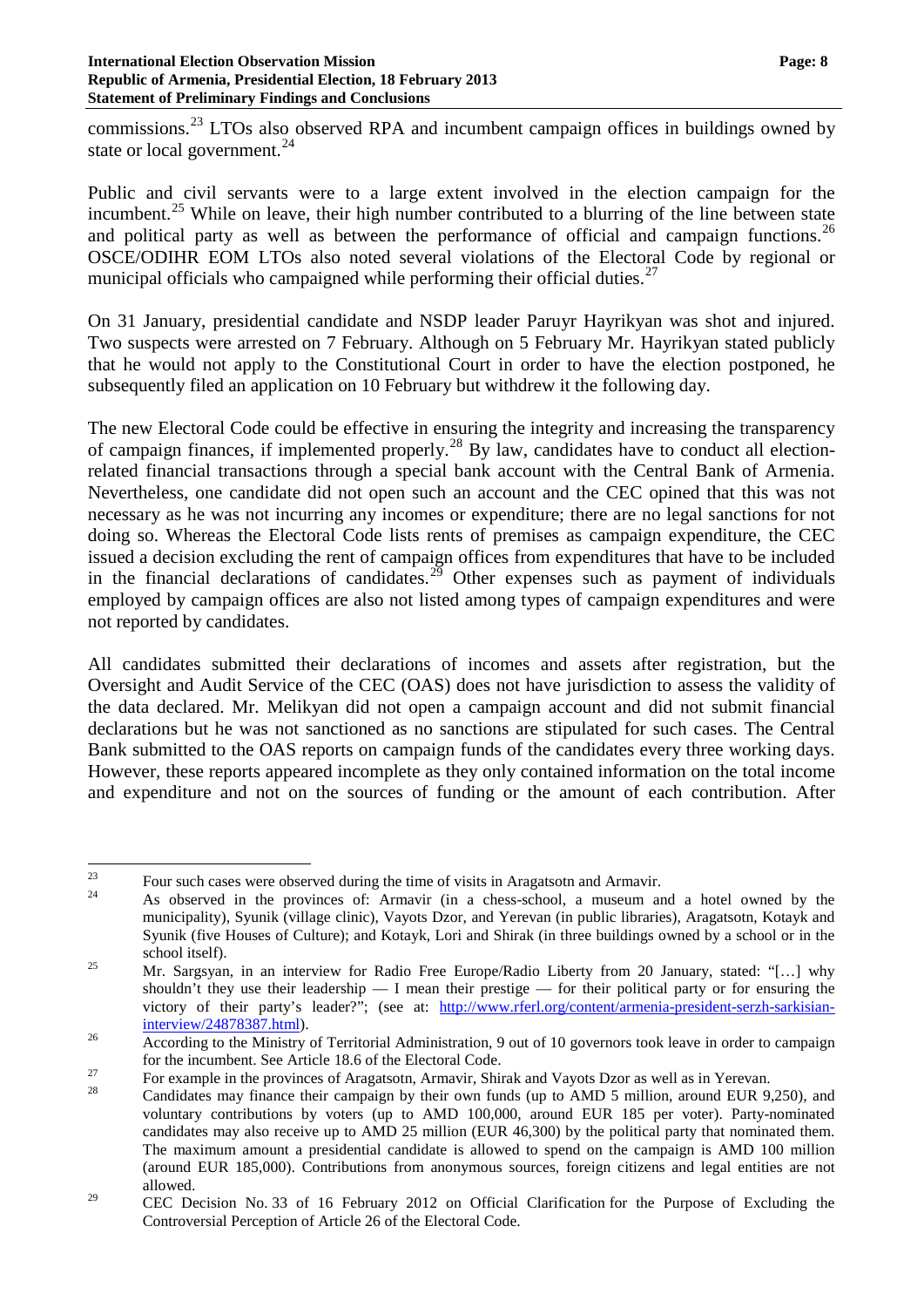commissions.[23](#page-7-0) LTOs also observed RPA and incumbent campaign offices in buildings owned by state or local government.<sup>[24](#page-7-1)</sup>

Public and civil servants were to a large extent involved in the election campaign for the incumbent.<sup>[25](#page-7-2)</sup> While on leave, their high number contributed to a blurring of the line between state and political party as well as between the performance of official and campaign functions.<sup>[26](#page-7-3)</sup> OSCE/ODIHR EOM LTOs also noted several violations of the Electoral Code by regional or municipal officials who campaigned while performing their official duties.<sup>[27](#page-7-4)</sup>

On 31 January, presidential candidate and NSDP leader Paruyr Hayrikyan was shot and injured. Two suspects were arrested on 7 February. Although on 5 February Mr. Hayrikyan stated publicly that he would not apply to the Constitutional Court in order to have the election postponed, he subsequently filed an application on 10 February but withdrew it the following day.

The new Electoral Code could be effective in ensuring the integrity and increasing the transparency of campaign finances, if implemented properly.<sup>[28](#page-7-5)</sup> By law, candidates have to conduct all electionrelated financial transactions through a special bank account with the Central Bank of Armenia. Nevertheless, one candidate did not open such an account and the CEC opined that this was not necessary as he was not incurring any incomes or expenditure; there are no legal sanctions for not doing so. Whereas the Electoral Code lists rents of premises as campaign expenditure, the CEC issued a decision excluding the rent of campaign offices from expenditures that have to be included in the financial declarations of candidates.<sup>[29](#page-7-6)</sup> Other expenses such as payment of individuals employed by campaign offices are also not listed among types of campaign expenditures and were not reported by candidates.

All candidates submitted their declarations of incomes and assets after registration, but the Oversight and Audit Service of the CEC (OAS) does not have jurisdiction to assess the validity of the data declared. Mr. Melikyan did not open a campaign account and did not submit financial declarations but he was not sanctioned as no sanctions are stipulated for such cases. The Central Bank submitted to the OAS reports on campaign funds of the candidates every three working days. However, these reports appeared incomplete as they only contained information on the total income and expenditure and not on the sources of funding or the amount of each contribution. After

<span id="page-7-1"></span><span id="page-7-0"></span><sup>&</sup>lt;sup>23</sup> Four such cases were observed during the time of visits in Aragatsotn and Armavir.<br><sup>24</sup> As observed in the provinces of: Armavir (in a chess-school, a museum and a hotel owned by the municipality), Syunik (village clinic), Vayots Dzor, and Yerevan (in public libraries), Aragatsotn, Kotayk and Syunik (five Houses of Culture); and Kotayk, Lori and Shirak (in three buildings owned by a school or in the school itself).<br><sup>25</sup> Mr. Sargsyan, in an interview for Radio Free Europe/Radio Liberty from 20 January, stated: "[…] why

<span id="page-7-2"></span>shouldn't they use their leadership  $- I$  mean their prestige  $-$  for their political party or for ensuring the victory of their party's leader?"; (see at: http://www.rferl.org/content/armenia-president-serzh-sarkisian-interview/24878387.html).

<span id="page-7-3"></span><sup>&</sup>lt;sup>26</sup><br>According to the Ministry of Territorial Administration, 9 out of 10 governors took leave in order to campaign<br>for the incumbent. See Article 18.6 of the Electoral Code.

<span id="page-7-5"></span><span id="page-7-4"></span><sup>&</sup>lt;sup>27</sup> For example in the provinces of Aragatsotn, Armavir, Shirak and Vayots Dzor as well as in Yerevan.<br><sup>28</sup> Candidates may finance their campaign by their own funds (up to AMD 5 million, around EUR 9,250), and voluntary contributions by voters (up to AMD 100,000, around EUR 185 per voter). Party-nominated candidates may also receive up to AMD 25 million (EUR 46,300) by the political party that nominated them. The maximum amount a presidential candidate is allowed to spend on the campaign is AMD 100 million (around EUR 185,000). Contributions from anonymous sources, foreign citizens and legal entities are not allowed.

<span id="page-7-6"></span><sup>&</sup>lt;sup>29</sup> CEC Decision No. 33 of 16 February 2012 on Official Clarification for the Purpose of Excluding the Controversial Perception of Article 26 of the Electoral Code.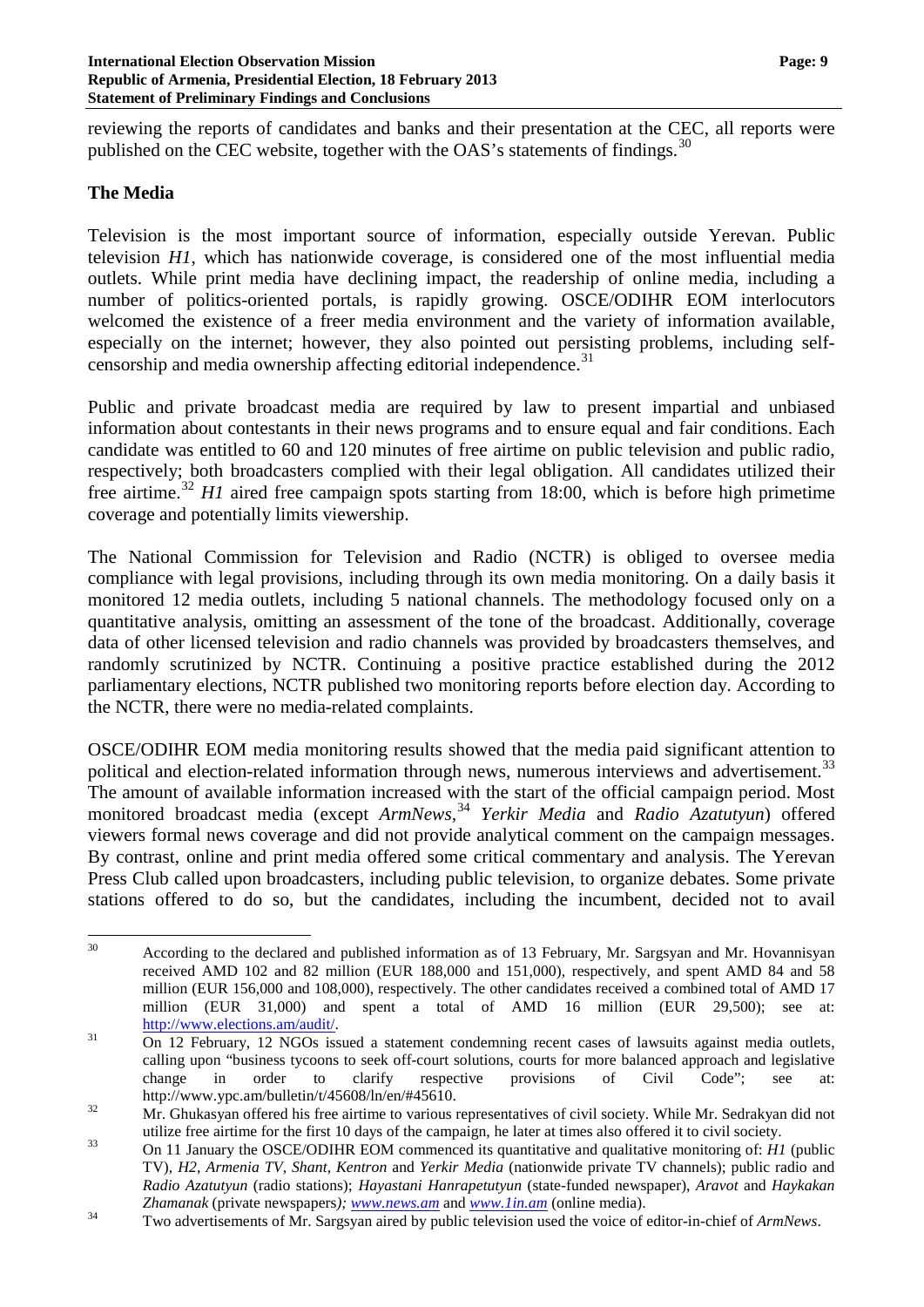reviewing the reports of candidates and banks and their presentation at the CEC, all reports were published on the CEC website, together with the OAS's statements of findings.<sup>[30](#page-8-0)</sup>

### **The Media**

Television is the most important source of information, especially outside Yerevan. Public television *H1*, which has nationwide coverage, is considered one of the most influential media outlets. While print media have declining impact, the readership of online media, including a number of politics-oriented portals, is rapidly growing. OSCE/ODIHR EOM interlocutors welcomed the existence of a freer media environment and the variety of information available, especially on the internet; however, they also pointed out persisting problems, including self-censorship and media ownership affecting editorial independence.<sup>[31](#page-8-1)</sup>

Public and private broadcast media are required by law to present impartial and unbiased information about contestants in their news programs and to ensure equal and fair conditions. Each candidate was entitled to 60 and 120 minutes of free airtime on public television and public radio, respectively; both broadcasters complied with their legal obligation. All candidates utilized their free airtime.<sup>[32](#page-8-2)</sup> *H1* aired free campaign spots starting from 18:00, which is before high primetime coverage and potentially limits viewership.

The National Commission for Television and Radio (NCTR) is obliged to oversee media compliance with legal provisions, including through its own media monitoring. On a daily basis it monitored 12 media outlets, including 5 national channels. The methodology focused only on a quantitative analysis, omitting an assessment of the tone of the broadcast. Additionally, coverage data of other licensed television and radio channels was provided by broadcasters themselves, and randomly scrutinized by NCTR. Continuing a positive practice established during the 2012 parliamentary elections, NCTR published two monitoring reports before election day. According to the NCTR, there were no media-related complaints.

OSCE/ODIHR EOM media monitoring results showed that the media paid significant attention to political and election-related information through news, numerous interviews and advertisement.<sup>[33](#page-8-3)</sup> The amount of available information increased with the start of the official campaign period. Most monitored broadcast media (except *ArmNews,*[34](#page-8-4) *Yerkir Media* and *Radio Azatutyun*) offered viewers formal news coverage and did not provide analytical comment on the campaign messages. By contrast, online and print media offered some critical commentary and analysis. The Yerevan Press Club called upon broadcasters, including public television, to organize debates. Some private stations offered to do so, but the candidates, including the incumbent, decided not to avail

<span id="page-8-0"></span><sup>&</sup>lt;sup>30</sup> According to the declared and published information as of 13 February, Mr. Sargsyan and Mr. Hovannisyan received AMD 102 and 82 million (EUR 188,000 and 151,000), respectively, and spent AMD 84 and 58 million (EUR 156,000 and 108,000), respectively. The other candidates received a combined total of AMD 17 million (EUR 31,000) and spent a total of AMD 16 million (EUR 29,500); see at: [http://www.elections.am/audit/.](http://www.elections.am/audit/)<br>
On 12 February, 12 NGOs issued a statement condemning recent cases of lawsuits against media outlets,

<span id="page-8-1"></span>calling upon "business tycoons to seek off-court solutions, courts for more balanced approach and legislative change in order to clarify respective provisions of Civil Code"; see at: http://www.ypc.am/bulletin/t/45608/ln/en/#45610.<br>32 Mr. Ghukasyan offered his free airtime to various representatives of civil society. While Mr. Sedrakyan did not

<span id="page-8-2"></span>utilize free airtime for the first 10 days of the campaign, he later at times also offered it to civil society. <sup>33</sup> On 11 January the OSCE/ODIHR EOM commenced its quantitative and qualitative monitoring of: *H1* (public

<span id="page-8-3"></span>TV), *H2*, *Armenia TV*, *Shant*, *Kentron* and *Yerkir Media* (nationwide private TV channels); public radio and *Radio Azatutyun* (radio stations); *Hayastani Hanrapetutyun* (state-funded newspaper), *Aravot* and *Haykakan* 

<span id="page-8-4"></span>*Zhamanak* (private newspapers*); [www.news.am](http://www.news.am/)* and *[www.1in.am](http://www.1in.am/)* (online media). <sup>34</sup> Two advertisements of Mr. Sargsyan aired by public television used the voice of editor-in-chief of *ArmNews*.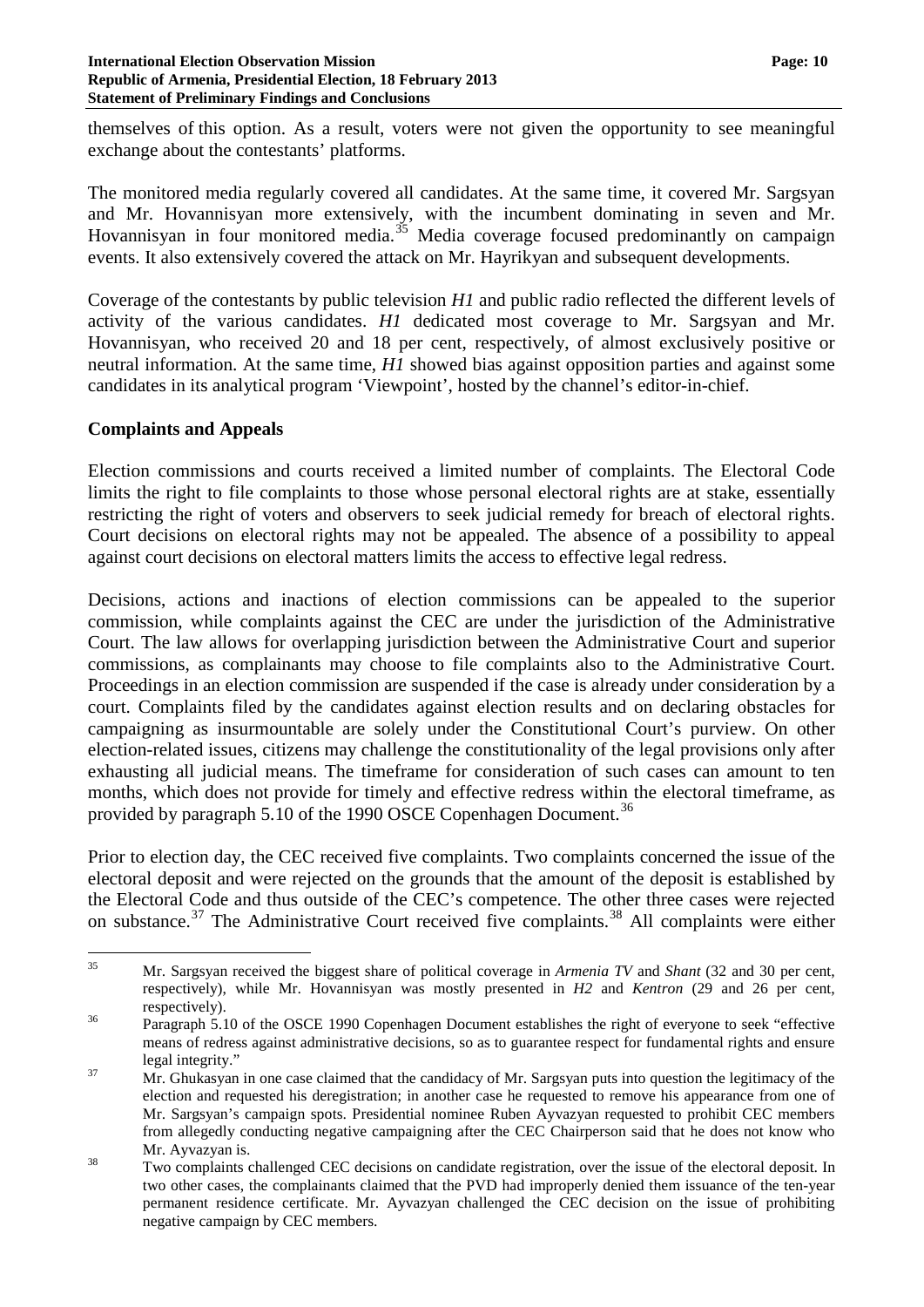themselves of this option. As a result, voters were not given the opportunity to see meaningful exchange about the contestants' platforms.

The monitored media regularly covered all candidates. At the same time, it covered Mr. Sargsyan and Mr. Hovannisyan more extensively, with the incumbent dominating in seven and Mr. Hovannisyan in four monitored media.<sup>[35](#page-9-0)</sup> Media coverage focused predominantly on campaign events. It also extensively covered the attack on Mr. Hayrikyan and subsequent developments.

Coverage of the contestants by public television *H1* and public radio reflected the different levels of activity of the various candidates. *H1* dedicated most coverage to Mr. Sargsyan and Mr. Hovannisyan, who received 20 and 18 per cent, respectively, of almost exclusively positive or neutral information. At the same time, *H1* showed bias against opposition parties and against some candidates in its analytical program 'Viewpoint', hosted by the channel's editor-in-chief.

## **Complaints and Appeals**

Election commissions and courts received a limited number of complaints. The Electoral Code limits the right to file complaints to those whose personal electoral rights are at stake, essentially restricting the right of voters and observers to seek judicial remedy for breach of electoral rights. Court decisions on electoral rights may not be appealed. The absence of a possibility to appeal against court decisions on electoral matters limits the access to effective legal redress.

Decisions, actions and inactions of election commissions can be appealed to the superior commission, while complaints against the CEC are under the jurisdiction of the Administrative Court. The law allows for overlapping jurisdiction between the Administrative Court and superior commissions, as complainants may choose to file complaints also to the Administrative Court. Proceedings in an election commission are suspended if the case is already under consideration by a court. Complaints filed by the candidates against election results and on declaring obstacles for campaigning as insurmountable are solely under the Constitutional Court's purview. On other election-related issues, citizens may challenge the constitutionality of the legal provisions only after exhausting all judicial means. The timeframe for consideration of such cases can amount to ten months, which does not provide for timely and effective redress within the electoral timeframe, as provided by paragraph 5.10 of the 1990 OSCE Copenhagen Document.<sup>[36](#page-9-1)</sup>

Prior to election day, the CEC received five complaints. Two complaints concerned the issue of the electoral deposit and were rejected on the grounds that the amount of the deposit is established by the Electoral Code and thus outside of the CEC's competence. The other three cases were rejected on substance.<sup>[37](#page-9-2)</sup> The Administrative Court received five complaints.<sup>[38](#page-9-3)</sup> All complaints were either

<span id="page-9-0"></span> <sup>35</sup> Mr. Sargsyan received the biggest share of political coverage in *Armenia TV* and *Shant* (32 and 30 per cent, respectively), while Mr. Hovannisyan was mostly presented in *H2* and *Kentron* (29 and 26 per cent,

<span id="page-9-1"></span>respectively).<br><sup>36</sup> Paragraph 5.10 of the OSCE 1990 Copenhagen Document establishes the right of everyone to seek "effective means of redress against administrative decisions, so as to guarantee respect for fundamental rights and ensure legal integrity." <sup>37</sup> Mr. Ghukasyan in one case claimed that the candidacy of Mr. Sargsyan puts into question the legitimacy of the

<span id="page-9-2"></span>election and requested his deregistration; in another case he requested to remove his appearance from one of Mr. Sargsyan's campaign spots. Presidential nominee Ruben Ayvazyan requested to prohibit CEC members from allegedly conducting negative campaigning after the CEC Chairperson said that he does not know who Mr. Ayvazyan is.<br>38 Two complaints challenged CEC decisions on candidate registration, over the issue of the electoral deposit. In

<span id="page-9-3"></span>two other cases, the complainants claimed that the PVD had improperly denied them issuance of the ten-year permanent residence certificate. Mr. Ayvazyan challenged the CEC decision on the issue of prohibiting negative campaign by CEC members.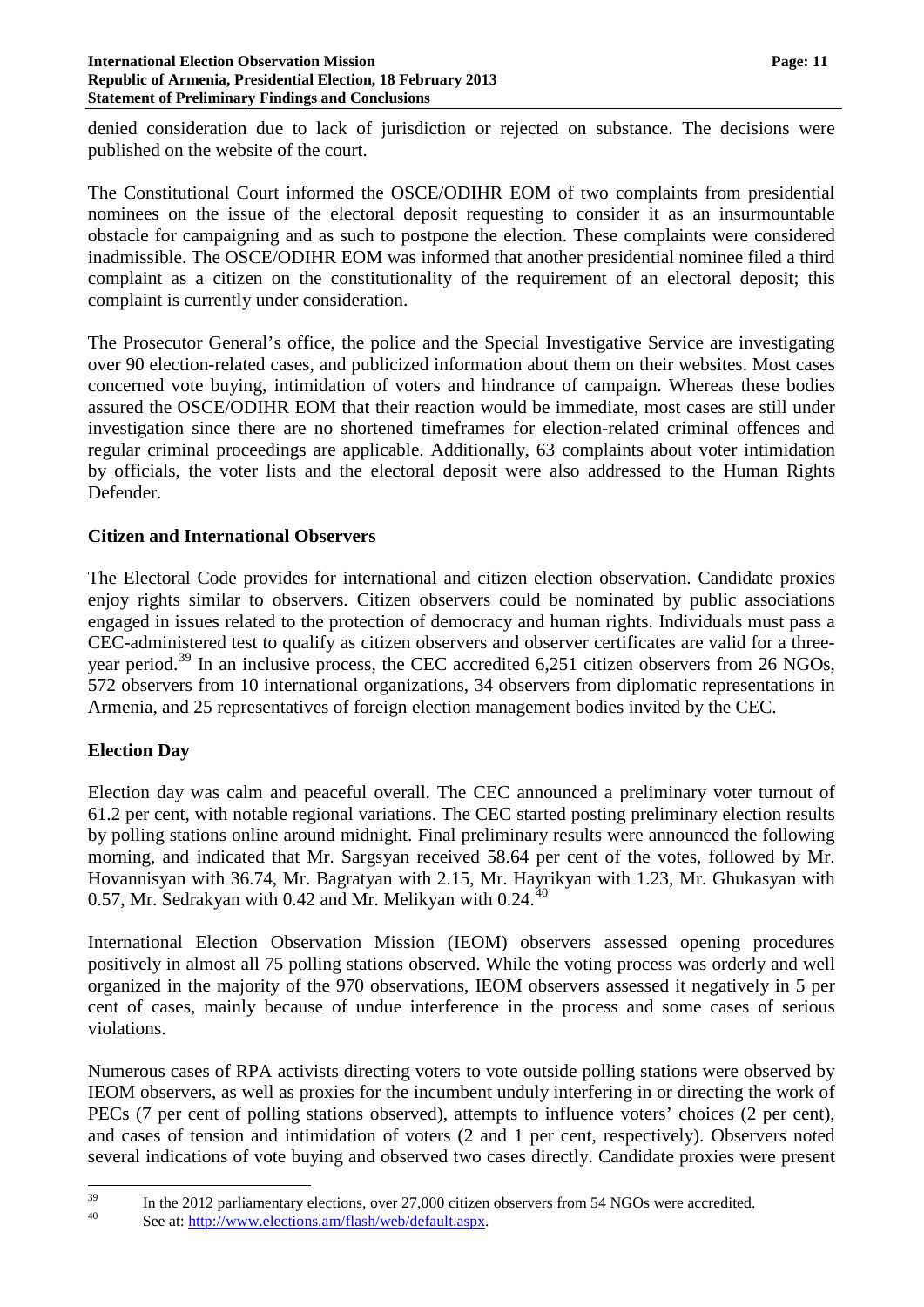denied consideration due to lack of jurisdiction or rejected on substance. The decisions were published on the website of the court.

The Constitutional Court informed the OSCE/ODIHR EOM of two complaints from presidential nominees on the issue of the electoral deposit requesting to consider it as an insurmountable obstacle for campaigning and as such to postpone the election. These complaints were considered inadmissible. The OSCE/ODIHR EOM was informed that another presidential nominee filed a third complaint as a citizen on the constitutionality of the requirement of an electoral deposit; this complaint is currently under consideration.

The Prosecutor General's office, the police and the Special Investigative Service are investigating over 90 election-related cases, and publicized information about them on their websites. Most cases concerned vote buying, intimidation of voters and hindrance of campaign. Whereas these bodies assured the OSCE/ODIHR EOM that their reaction would be immediate, most cases are still under investigation since there are no shortened timeframes for election-related criminal offences and regular criminal proceedings are applicable. Additionally, 63 complaints about voter intimidation by officials, the voter lists and the electoral deposit were also addressed to the Human Rights Defender.

## **Citizen and International Observers**

The Electoral Code provides for international and citizen election observation. Candidate proxies enjoy rights similar to observers. Citizen observers could be nominated by public associations engaged in issues related to the protection of democracy and human rights. Individuals must pass a CEC-administered test to qualify as citizen observers and observer certificates are valid for a three-year period.<sup>[39](#page-10-0)</sup> In an inclusive process, the CEC accredited  $6,251$  citizen observers from 26 NGOs, 572 observers from 10 international organizations, 34 observers from diplomatic representations in Armenia, and 25 representatives of foreign election management bodies invited by the CEC.

# **Election Day**

Election day was calm and peaceful overall. The CEC announced a preliminary voter turnout of 61.2 per cent, with notable regional variations. The CEC started posting preliminary election results by polling stations online around midnight. Final preliminary results were announced the following morning, and indicated that Mr. Sargsyan received 58.64 per cent of the votes, followed by Mr. Hovannisyan with 36.74, Mr. Bagratyan with 2.15, Mr. Hayrikyan with 1.23, Mr. Ghukasyan with 0.57, Mr. Sedrakyan with 0.42 and Mr. Melikyan with 0.24.<sup>[40](#page-10-1)</sup>

International Election Observation Mission (IEOM) observers assessed opening procedures positively in almost all 75 polling stations observed. While the voting process was orderly and well organized in the majority of the 970 observations, IEOM observers assessed it negatively in 5 per cent of cases, mainly because of undue interference in the process and some cases of serious violations.

Numerous cases of RPA activists directing voters to vote outside polling stations were observed by IEOM observers, as well as proxies for the incumbent unduly interfering in or directing the work of PECs (7 per cent of polling stations observed), attempts to influence voters' choices (2 per cent), and cases of tension and intimidation of voters (2 and 1 per cent, respectively). Observers noted several indications of vote buying and observed two cases directly. Candidate proxies were present

<span id="page-10-1"></span><span id="page-10-0"></span><sup>&</sup>lt;sup>39</sup> In the 2012 parliamentary elections, over 27,000 citizen observers from 54 NGOs were accredited.<br>
See at:  $\frac{http://www.elections.am/flash/web/default.aspx.}$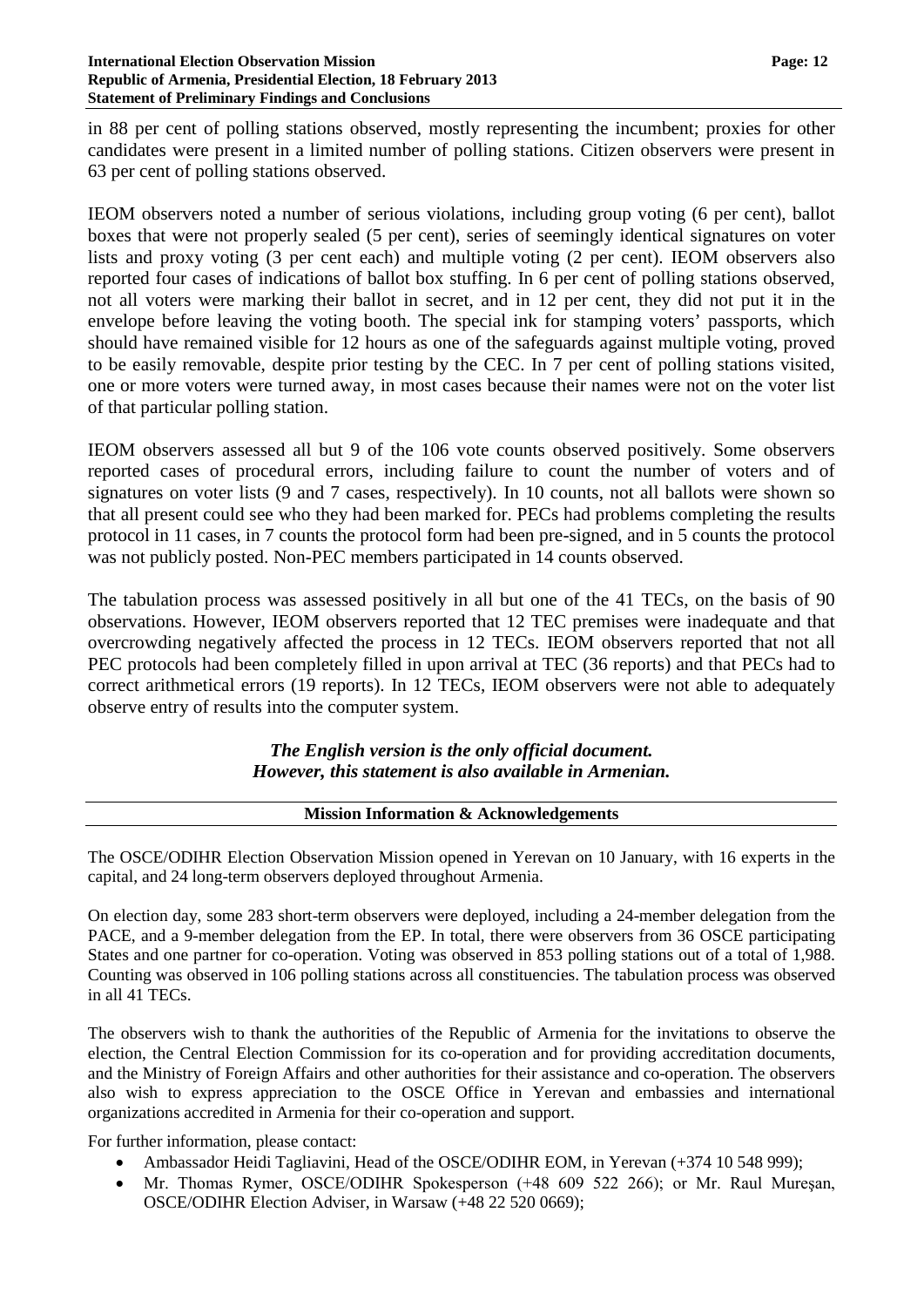#### **International Election Observation Mission Page: 12 Republic of Armenia, Presidential Election, 18 February 2013 Statement of Preliminary Findings and Conclusions**

in 88 per cent of polling stations observed, mostly representing the incumbent; proxies for other candidates were present in a limited number of polling stations. Citizen observers were present in 63 per cent of polling stations observed.

IEOM observers noted a number of serious violations, including group voting (6 per cent), ballot boxes that were not properly sealed (5 per cent), series of seemingly identical signatures on voter lists and proxy voting (3 per cent each) and multiple voting (2 per cent). IEOM observers also reported four cases of indications of ballot box stuffing. In 6 per cent of polling stations observed, not all voters were marking their ballot in secret, and in 12 per cent, they did not put it in the envelope before leaving the voting booth. The special ink for stamping voters' passports, which should have remained visible for 12 hours as one of the safeguards against multiple voting, proved to be easily removable, despite prior testing by the CEC. In 7 per cent of polling stations visited, one or more voters were turned away, in most cases because their names were not on the voter list of that particular polling station.

IEOM observers assessed all but 9 of the 106 vote counts observed positively. Some observers reported cases of procedural errors, including failure to count the number of voters and of signatures on voter lists (9 and 7 cases, respectively). In 10 counts, not all ballots were shown so that all present could see who they had been marked for. PECs had problems completing the results protocol in 11 cases, in 7 counts the protocol form had been pre-signed, and in 5 counts the protocol was not publicly posted. Non-PEC members participated in 14 counts observed.

The tabulation process was assessed positively in all but one of the 41 TECs, on the basis of 90 observations. However, IEOM observers reported that 12 TEC premises were inadequate and that overcrowding negatively affected the process in 12 TECs. IEOM observers reported that not all PEC protocols had been completely filled in upon arrival at TEC (36 reports) and that PECs had to correct arithmetical errors (19 reports). In 12 TECs, IEOM observers were not able to adequately observe entry of results into the computer system.

## *The English version is the only official document. However, this statement is also available in Armenian.*

### **Mission Information & Acknowledgements**

The OSCE/ODIHR Election Observation Mission opened in Yerevan on 10 January, with 16 experts in the capital, and 24 long-term observers deployed throughout Armenia.

On election day, some 283 short-term observers were deployed, including a 24-member delegation from the PACE, and a 9-member delegation from the EP. In total, there were observers from 36 OSCE participating States and one partner for co-operation. Voting was observed in 853 polling stations out of a total of 1,988. Counting was observed in 106 polling stations across all constituencies. The tabulation process was observed in all 41 TECs.

The observers wish to thank the authorities of the Republic of Armenia for the invitations to observe the election, the Central Election Commission for its co-operation and for providing accreditation documents, and the Ministry of Foreign Affairs and other authorities for their assistance and co-operation. The observers also wish to express appreciation to the OSCE Office in Yerevan and embassies and international organizations accredited in Armenia for their co-operation and support.

For further information, please contact:

- Ambassador Heidi Tagliavini, Head of the OSCE/ODIHR EOM, in Yerevan (+374 10 548 999);
- Mr. Thomas Rymer, OSCE/ODIHR Spokesperson (+48 609 522 266); or Mr. Raul Muresan, OSCE/ODIHR Election Adviser, in Warsaw (+48 22 520 0669);